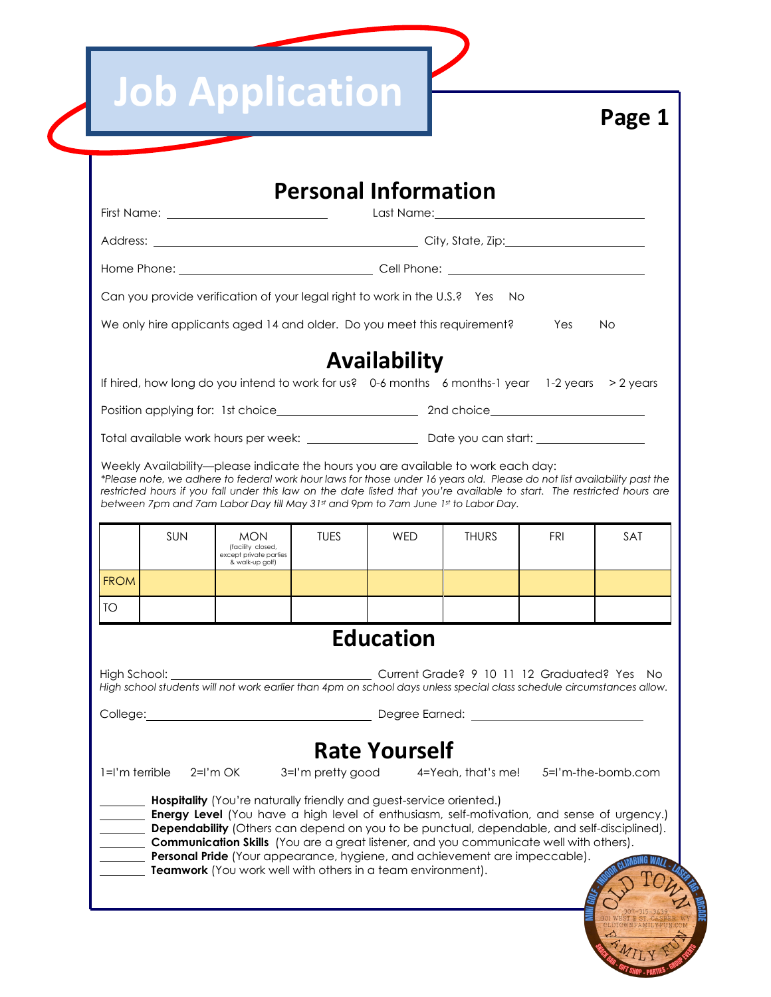|  |  |  | <b>Job Application</b> |
|--|--|--|------------------------|
|  |  |  |                        |

| <b>Personal Information</b>                                                                                                                                                                                                                                                                                                                                                                                                                                                                                                                                                                                                                       |                                                                                       |             |              |              |            |     |  |
|---------------------------------------------------------------------------------------------------------------------------------------------------------------------------------------------------------------------------------------------------------------------------------------------------------------------------------------------------------------------------------------------------------------------------------------------------------------------------------------------------------------------------------------------------------------------------------------------------------------------------------------------------|---------------------------------------------------------------------------------------|-------------|--------------|--------------|------------|-----|--|
|                                                                                                                                                                                                                                                                                                                                                                                                                                                                                                                                                                                                                                                   |                                                                                       |             |              |              |            |     |  |
|                                                                                                                                                                                                                                                                                                                                                                                                                                                                                                                                                                                                                                                   |                                                                                       |             |              |              |            |     |  |
|                                                                                                                                                                                                                                                                                                                                                                                                                                                                                                                                                                                                                                                   |                                                                                       |             |              |              |            |     |  |
| Can you provide verification of your legal right to work in the U.S.? Yes No                                                                                                                                                                                                                                                                                                                                                                                                                                                                                                                                                                      |                                                                                       |             |              |              |            |     |  |
|                                                                                                                                                                                                                                                                                                                                                                                                                                                                                                                                                                                                                                                   | We only hire applicants aged 14 and older. Do you meet this requirement?<br>Yes<br>No |             |              |              |            |     |  |
|                                                                                                                                                                                                                                                                                                                                                                                                                                                                                                                                                                                                                                                   |                                                                                       |             | Availability |              |            |     |  |
| If hired, how long do you intend to work for us? 0-6 months 6 months-1 year 1-2 years > 2 years                                                                                                                                                                                                                                                                                                                                                                                                                                                                                                                                                   |                                                                                       |             |              |              |            |     |  |
|                                                                                                                                                                                                                                                                                                                                                                                                                                                                                                                                                                                                                                                   |                                                                                       |             |              |              |            |     |  |
|                                                                                                                                                                                                                                                                                                                                                                                                                                                                                                                                                                                                                                                   |                                                                                       |             |              |              |            |     |  |
| Weekly Availability—please indicate the hours you are available to work each day:<br>*Please note, we adhere to federal work hour laws for those under 16 years old. Please do not list availability past the<br>restricted hours if you fall under this law on the date listed that you're available to start. The restricted hours are<br>between 7pm and 7am Labor Day till May 31st and 9pm to 7am June 1st to Labor Day.                                                                                                                                                                                                                     |                                                                                       |             |              |              |            |     |  |
| <b>SUN</b>                                                                                                                                                                                                                                                                                                                                                                                                                                                                                                                                                                                                                                        | <b>MON</b><br>(facility closed,<br>except private parties<br>& walk-up golf)          | <b>TUES</b> | <b>WED</b>   | <b>THURS</b> | <b>FRI</b> | SAT |  |
| <b>FROM</b>                                                                                                                                                                                                                                                                                                                                                                                                                                                                                                                                                                                                                                       |                                                                                       |             |              |              |            |     |  |
| TO                                                                                                                                                                                                                                                                                                                                                                                                                                                                                                                                                                                                                                                |                                                                                       |             |              |              |            |     |  |
| <b>Education</b>                                                                                                                                                                                                                                                                                                                                                                                                                                                                                                                                                                                                                                  |                                                                                       |             |              |              |            |     |  |
| High School: _<br>Current Grade? 9 10 11 12 Graduated? Yes<br>No.<br>High school students will not work earlier than 4pm on school days unless special class schedule circumstances allow.                                                                                                                                                                                                                                                                                                                                                                                                                                                        |                                                                                       |             |              |              |            |     |  |
| Dearee Earned:<br>College:                                                                                                                                                                                                                                                                                                                                                                                                                                                                                                                                                                                                                        |                                                                                       |             |              |              |            |     |  |
| <b>Rate Yourself</b><br>$l = l'm$ terrible<br>$2=I'm OK$<br>3=I'm pretty good<br>5=I'm-the-bomb.com<br>4=Yeah, that's me!<br><b>Hospitality</b> (You're naturally friendly and guest-service oriented.)<br><b>Energy Level</b> (You have a high level of enthusiasm, self-motivation, and sense of urgency.)<br>Dependability (Others can depend on you to be punctual, dependable, and self-disciplined).<br>Communication Skills (You are a great listener, and you communicate well with others).<br>Personal Pride (Your appearance, hygiene, and achievement are impeccable).<br>Teamwork (You work well with others in a team environment). |                                                                                       |             |              |              |            |     |  |
|                                                                                                                                                                                                                                                                                                                                                                                                                                                                                                                                                                                                                                                   |                                                                                       |             |              |              |            |     |  |

**Page 1**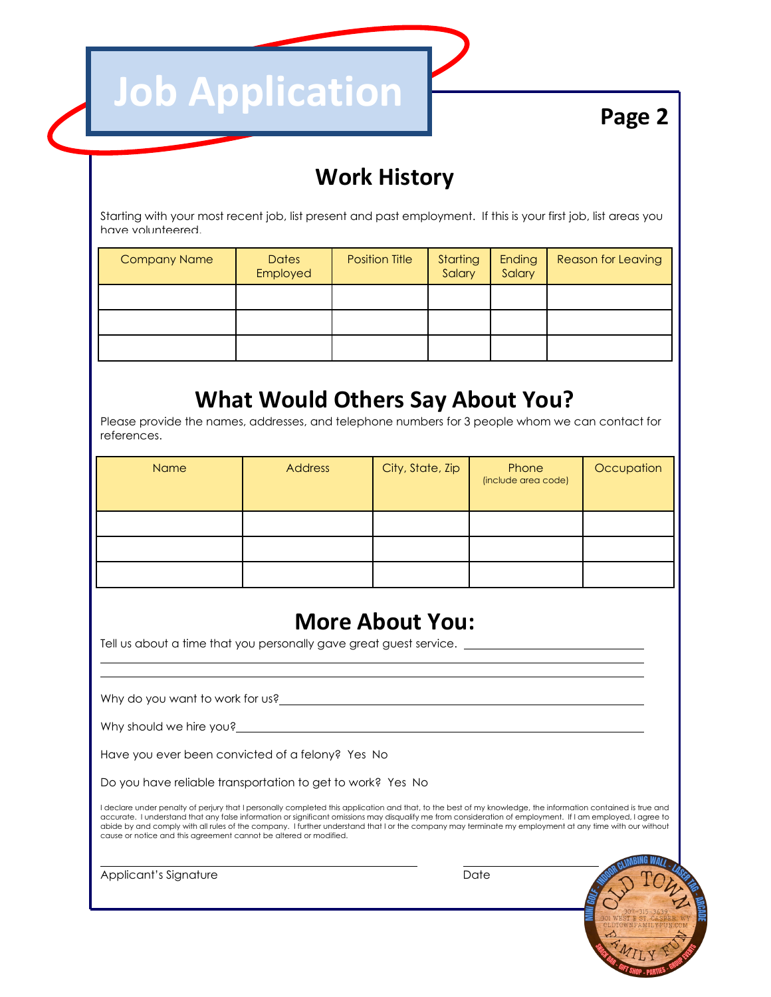**Page 2**

## **Work History**

Starting with your most recent job, list present and past employment. If this is your first job, list areas you have volunteered.

| <b>Company Name</b> | <b>Dates</b><br>Employed | <b>Position Title</b> | Starting<br>Salary | Ending<br>Salary | <b>Reason for Leaving</b> |
|---------------------|--------------------------|-----------------------|--------------------|------------------|---------------------------|
|                     |                          |                       |                    |                  |                           |
|                     |                          |                       |                    |                  |                           |
|                     |                          |                       |                    |                  |                           |

## **What Would Others Say About You?**

Please provide the names, addresses, and telephone numbers for 3 people whom we can contact for references.

| Name | <b>Address</b> | City, State, Zip | Phone<br>(include area code) | Occupation |
|------|----------------|------------------|------------------------------|------------|
|      |                |                  |                              |            |
|      |                |                  |                              |            |
|      |                |                  |                              |            |

## **More About You:**

Tell us about a time that you personally gave great guest service. \_\_\_\_\_

**Job Application** 

Why do you want to work for us?

Why should we hire you?\_\_

 $\overline{a}$ 

 $\overline{a}$ 

Have you ever been convicted of a felony? Yes No

Do you have reliable transportation to get to work? Yes No

 I declare under penalty of perjury that I personally completed this application and that, to the best of my knowledge, the information contained is true and accurate. I understand that any false information or significant omissions may disqualify me from consideration of employment. If I am employed, I agree to abide by and comply with all rules of the company. I further understand that I or the company may terminate my employment at any time with our without cause or notice and this agreement cannot be altered or modified.

Applicant's Signature Date